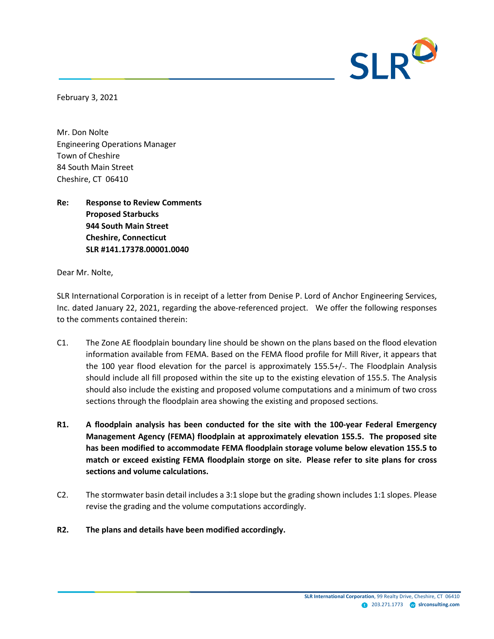

February 3, 2021

Mr. Don Nolte Engineering Operations Manager Town of Cheshire 84 South Main Street Cheshire, CT 06410

**Re: Response to Review Comments Proposed Starbucks 944 South Main Street Cheshire, Connecticut SLR #141.17378.00001.0040**

Dear Mr. Nolte,

SLR International Corporation is in receipt of a letter from Denise P. Lord of Anchor Engineering Services, Inc. dated January 22, 2021, regarding the above-referenced project. We offer the following responses to the comments contained therein:

- C1. The Zone AE floodplain boundary line should be shown on the plans based on the flood elevation information available from FEMA. Based on the FEMA flood profile for Mill River, it appears that the 100 year flood elevation for the parcel is approximately 155.5+/-. The Floodplain Analysis should include all fill proposed within the site up to the existing elevation of 155.5. The Analysis should also include the existing and proposed volume computations and a minimum of two cross sections through the floodplain area showing the existing and proposed sections.
- **R1. A floodplain analysis has been conducted for the site with the 100-year Federal Emergency Management Agency (FEMA) floodplain at approximately elevation 155.5. The proposed site has been modified to accommodate FEMA floodplain storage volume below elevation 155.5 to match or exceed existing FEMA floodplain storge on site. Please refer to site plans for cross sections and volume calculations.**
- $C2$ . The stormwater basin detail includes a 3:1 slope but the grading shown includes 1:1 slopes. Please revise the grading and the volume computations accordingly.
- **R2. The plans and details have been modified accordingly.**